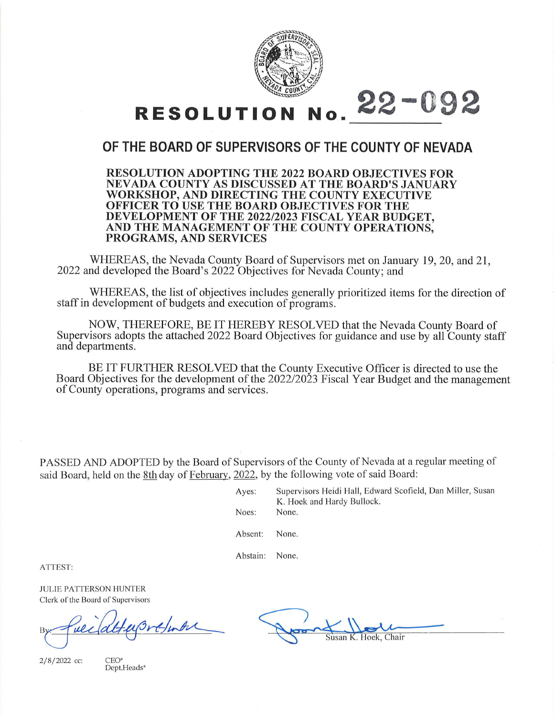

RESOLUTION No.  $22 - 092$ 

# OF THE BOARD OF SUPERVISORS OF THE COUNTY OF NEVADA

#### RESOLUTION ADOPTING THE 2022 BOARD OBJECTIVES FOR NEVADA COUNTY AS DISCUSSED AT THE BOARD'S JANUARY WORKSHOP, AND DIRECTING THE COUNTY EXECUTIVE OFFICER TO USE THE BOARD OBJECTIVES FOR THE DEVELOPMENT OF THE 2022/2023 FISCAL YEAR BUDGET, AND THE MANAGEMENT OF THE COUNTY OPERATIONS, PROGRAMS, AND SERVICES

WHEREAS, the Nevada County Board of Supervisors met on January 19, 20, and 21, 2022 and developed the Board's 2022 Objectives for Nevada County; and

WHEREAS, the list of objectives includes generally prioritized items for the direction of staff in development of budgets and execution of programs.

NOW, THEREFORE, BE IT HEREBY RESOLVED that the Nevada County Board of Supervisors adopts the attached 2022 Board Objectives for guidance and use by all County staff and departments.

BE IT FURTHER RESOLVED that the County Executive Officer is directed to use the Board Objectives for the development of the 2022/2023 Fiscal Year Budget and the management of County operations, programs and services.

PASSED AND ADOPTED by the Board of Supervisors of the County of Nevada at a regular meeting of said Board, held on the 8th day of February, 2022, by the following vote of said Board:

> Ayes: Supervisors Heidi Hall, Edward Scofield, Dan Miller, Susan K. Hoek and Hardy Bullock. Noes: None. Absent: None.

Abstain: None.

ATTEST:

JULIE PATTERSON HUNTER Clerk of the Board of Supervisors

By fueilalter Orthode Susan K. Hoek, Chair

2/s/2o2z cr. CEo\*

Dept.Heads~